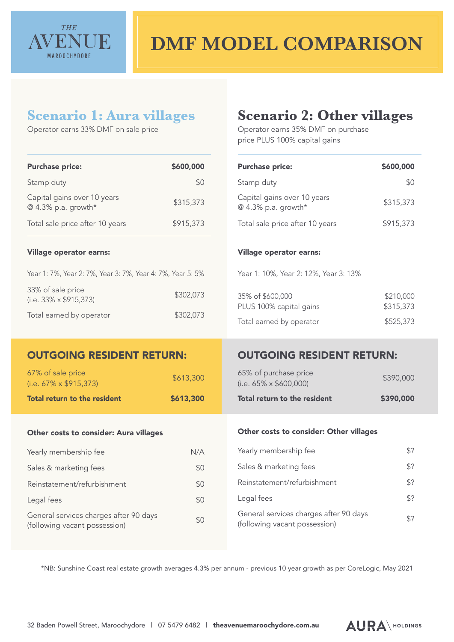

## **DMF MODEL COMPARISON**

### **Scenario 1: Aura villages**

Operator earns 33% DMF on sale price

### **Scenario 2: Other villages**

Operator earns 35% DMF on purchase price PLUS 100% capital gains

| <b>Purchase price:</b>                                                  | \$600,000 | <b>Purchase price:</b>                                                  | \$600,000              |
|-------------------------------------------------------------------------|-----------|-------------------------------------------------------------------------|------------------------|
| Stamp duty                                                              | \$0       | Stamp duty                                                              | \$0                    |
| Capital gains over 10 years<br>@ 4.3% p.a. growth*                      | \$315,373 | Capital gains over 10 years<br>@ 4.3% p.a. growth*                      | \$315,373              |
| Total sale price after 10 years                                         | \$915,373 | Total sale price after 10 years                                         | \$915,373              |
| <b>Village operator earns:</b>                                          |           | <b>Village operator earns:</b>                                          |                        |
| Year 1: 7%, Year 2: 7%, Year 3: 7%, Year 4: 7%, Year 5: 5%              |           | Year 1: 10%, Year 2: 12%, Year 3: 13%                                   |                        |
| 33% of sale price<br>$(i.e. 33\% \times $915,373)$                      | \$302,073 | 35% of \$600,000<br>PLUS 100% capital gains                             | \$210,000<br>\$315,373 |
| Total earned by operator                                                | \$302,073 | Total earned by operator                                                | \$525,373              |
| <b>OUTGOING RESIDENT RETURN:</b>                                        |           | <b>OUTGOING RESIDENT RETURN:</b>                                        |                        |
|                                                                         |           |                                                                         |                        |
| 67% of sale price<br>$(i.e. 67\% \times $915,373)$                      | \$613,300 | 65% of purchase price<br>$(i.e. 65\% \times $600,000)$                  | \$390,000              |
| Total return to the resident                                            | \$613,300 | Total return to the resident                                            | \$390,000              |
| Other costs to consider: Aura villages                                  |           | Other costs to consider: Other villages                                 |                        |
|                                                                         |           |                                                                         |                        |
| Yearly membership fee                                                   | N/A       | Yearly membership fee                                                   | \$?                    |
| Sales & marketing fees                                                  | \$0       | Sales & marketing fees                                                  | \$?                    |
| Reinstatement/refurbishment                                             | \$0       | Reinstatement/refurbishment                                             | \$?                    |
| Legal fees                                                              | \$0       | Legal fees                                                              | \$?                    |
| General services charges after 90 days<br>(following vacant possession) | \$0       | General services charges after 90 days<br>(following vacant possession) | \$?                    |

\*NB: Sunshine Coast real estate growth averages 4.3% per annum - previous 10 year growth as per CoreLogic, May 2021